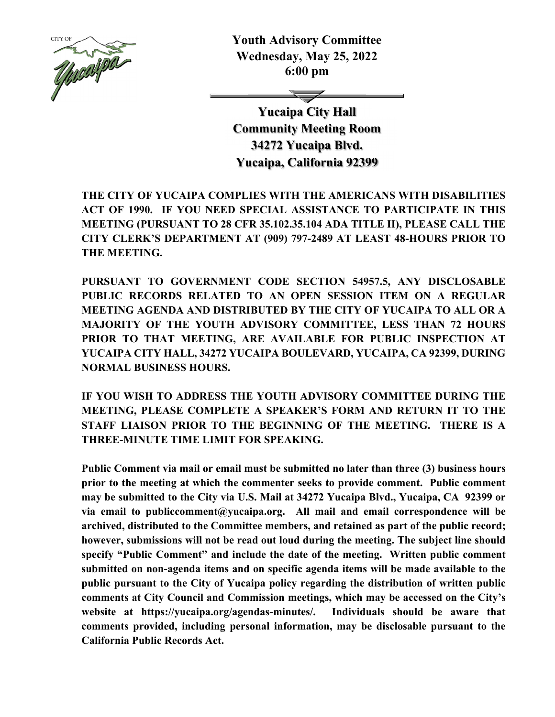

**Youth Advisory Committee Wednesday, May 25, 2022 6:00 pm** 

**Yucaipa City Hall Community Meeting Room 34272 Yucaipa Blvd. Yucaipa, California 92399** 

**THE CITY OF YUCAIPA COMPLIES WITH THE AMERICANS WITH DISABILITIES ACT OF 1990. IF YOU NEED SPECIAL ASSISTANCE TO PARTICIPATE IN THIS MEETING (PURSUANT TO 28 CFR 35.102.35.104 ADA TITLE II), PLEASE CALL THE CITY CLERK'S DEPARTMENT AT (909) 797-2489 AT LEAST 48-HOURS PRIOR TO THE MEETING.** 

**PURSUANT TO GOVERNMENT CODE SECTION 54957.5, ANY DISCLOSABLE PUBLIC RECORDS RELATED TO AN OPEN SESSION ITEM ON A REGULAR MEETING AGENDA AND DISTRIBUTED BY THE CITY OF YUCAIPA TO ALL OR A MAJORITY OF THE YOUTH ADVISORY COMMITTEE, LESS THAN 72 HOURS PRIOR TO THAT MEETING, ARE AVAILABLE FOR PUBLIC INSPECTION AT YUCAIPA CITY HALL, 34272 YUCAIPA BOULEVARD, YUCAIPA, CA 92399, DURING NORMAL BUSINESS HOURS.** 

**IF YOU WISH TO ADDRESS THE YOUTH ADVISORY COMMITTEE DURING THE MEETING, PLEASE COMPLETE A SPEAKER'S FORM AND RETURN IT TO THE STAFF LIAISON PRIOR TO THE BEGINNING OF THE MEETING. THERE IS A THREE-MINUTE TIME LIMIT FOR SPEAKING.** 

**Public Comment via mail or email must be submitted no later than three (3) business hours prior to the meeting at which the commenter seeks to provide comment. Public comment may be submitted to the City via U.S. Mail at 34272 Yucaipa Blvd., Yucaipa, CA 92399 or via email to publiccomment@yucaipa.org. All mail and email correspondence will be archived, distributed to the Committee members, and retained as part of the public record; however, submissions will not be read out loud during the meeting. The subject line should specify "Public Comment" and include the date of the meeting. Written public comment submitted on non-agenda items and on specific agenda items will be made available to the public pursuant to the City of Yucaipa policy regarding the distribution of written public comments at City Council and Commission meetings, which may be accessed on the City's website at https://yucaipa.org/agendas-minutes/. Individuals should be aware that comments provided, including personal information, may be disclosable pursuant to the California Public Records Act.**